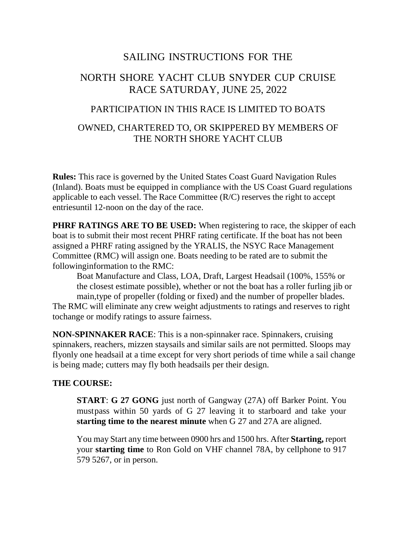# SAILING INSTRUCTIONS FOR THE

# NORTH SHORE YACHT CLUB SNYDER CUP CRUISE RACE SATURDAY, JUNE 25, 2022

### PARTICIPATION IN THIS RACE IS LIMITED TO BOATS

### OWNED, CHARTERED TO, OR SKIPPERED BY MEMBERS OF THE NORTH SHORE YACHT CLUB

**Rules:** This race is governed by the United States Coast Guard Navigation Rules (Inland). Boats must be equipped in compliance with the US Coast Guard regulations applicable to each vessel. The Race Committee (R/C) reserves the right to accept entriesuntil 12-noon on the day of the race.

**PHRF RATINGS ARE TO BE USED:** When registering to race, the skipper of each boat is to submit their most recent PHRF rating certificate. If the boat has not been assigned a PHRF rating assigned by the YRALIS, the NSYC Race Management Committee (RMC) will assign one. Boats needing to be rated are to submit the followinginformation to the RMC:

Boat Manufacture and Class, LOA, Draft, Largest Headsail (100%, 155% or the closest estimate possible), whether or not the boat has a roller furling jib or main,type of propeller (folding or fixed) and the number of propeller blades. The RMC will eliminate any crew weight adjustments to ratings and reserves to right

tochange or modify ratings to assure fairness.

**NON-SPINNAKER RACE**: This is a non-spinnaker race. Spinnakers, cruising spinnakers, reachers, mizzen staysails and similar sails are not permitted. Sloops may flyonly one headsail at a time except for very short periods of time while a sail change is being made; cutters may fly both headsails per their design.

#### **THE COURSE:**

**START**: **G 27 GONG** just north of Gangway (27A) off Barker Point. You mustpass within 50 yards of G 27 leaving it to starboard and take your **starting time to the nearest minute** when G 27 and 27A are aligned.

You may Start any time between 0900 hrs and 1500 hrs. After **Starting,** report your **starting time** to Ron Gold on VHF channel 78A, by cellphone to 917 579 5267, or in person.